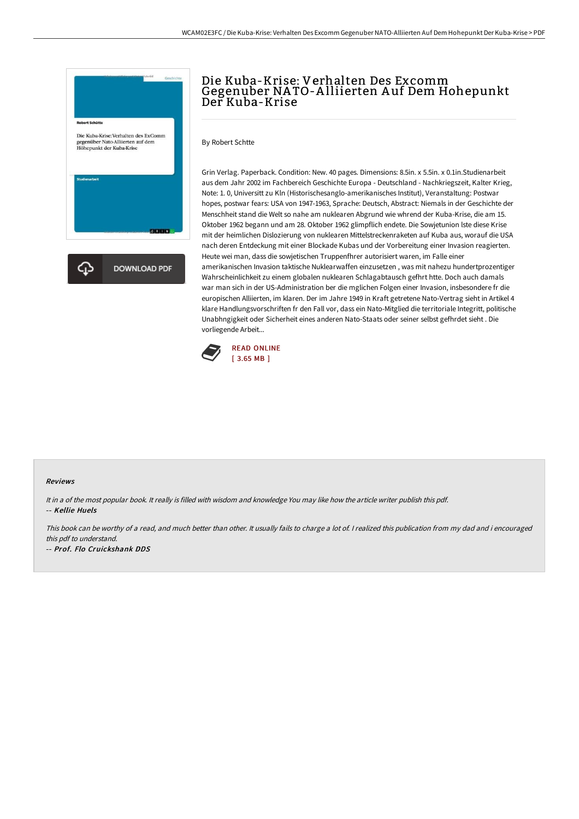

# Die Kuba-Krise: Verhalten Des Excomm Gegenuber NA TO-A lliierten A uf Dem Hohepunkt Der Kuba-Krise

By Robert Schtte

Grin Verlag. Paperback. Condition: New. 40 pages. Dimensions: 8.5in. x 5.5in. x 0.1in.Studienarbeit aus dem Jahr 2002 im Fachbereich Geschichte Europa - Deutschland - Nachkriegszeit, Kalter Krieg, Note: 1. 0, Universitt zu Kln (Historischesanglo-amerikanisches Institut), Veranstaltung: Postwar hopes, postwar fears: USA von 1947-1963, Sprache: Deutsch, Abstract: Niemals in der Geschichte der Menschheit stand die Welt so nahe am nuklearen Abgrund wie whrend der Kuba-Krise, die am 15. Oktober 1962 begann und am 28. Oktober 1962 glimpflich endete. Die Sowjetunion lste diese Krise mit der heimlichen Dislozierung von nuklearen Mittelstreckenraketen auf Kuba aus, worauf die USA nach deren Entdeckung mit einer Blockade Kubas und der Vorbereitung einer Invasion reagierten. Heute wei man, dass die sowjetischen Truppenfhrer autorisiert waren, im Falle einer amerikanischen Invasion taktische Nuklearwaffen einzusetzen , was mit nahezu hundertprozentiger Wahrscheinlichkeit zu einem globalen nuklearen Schlagabtausch gefhrt htte. Doch auch damals war man sich in der US-Administration ber die mglichen Folgen einer Invasion, insbesondere fr die europischen Alliierten, im klaren. Der im Jahre 1949 in Kraft getretene Nato-Vertrag sieht in Artikel 4 klare Handlungsvorschriften fr den Fall vor, dass ein Nato-Mitglied die territoriale Integritt, politische Unabhngigkeit oder Sicherheit eines anderen Nato-Staats oder seiner selbst gefhrdet sieht . Die vorliegende Arbeit...



#### Reviews

It in <sup>a</sup> of the most popular book. It really is filled with wisdom and knowledge You may like how the article writer publish this pdf. -- Kellie Huels

This book can be worthy of <sup>a</sup> read, and much better than other. It usually fails to charge <sup>a</sup> lot of. <sup>I</sup> realized this publication from my dad and i encouraged this pdf to understand.

-- Prof. Flo Cruickshank DDS